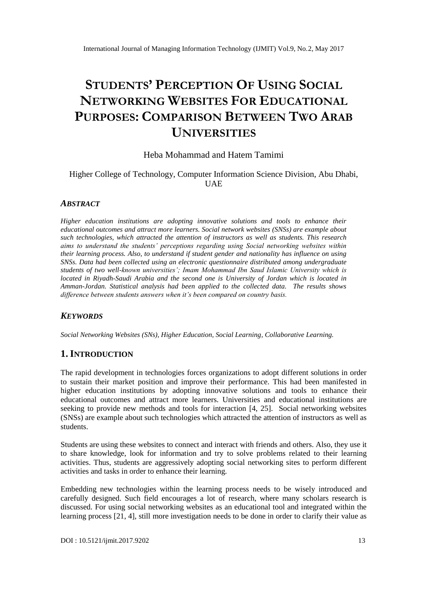# **STUDENTS' PERCEPTION OF USING SOCIAL NETWORKING WEBSITES FOR EDUCATIONAL PURPOSES: COMPARISON BETWEEN TWO ARAB UNIVERSITIES**

### Heba Mohammad and Hatem Tamimi

### Higher College of Technology, Computer Information Science Division, Abu Dhabi, UAE

### *ABSTRACT*

*Higher education institutions are adopting innovative solutions and tools to enhance their educational outcomes and attract more learners. Social network websites (SNSs) are example about such technologies, which attracted the attention of instructors as well as students. This research aims to understand the students' perceptions regarding using Social networking websites within their learning process. Also, to understand if student gender and nationality has influence on using SNSs. Data had been collected using an electronic questionnaire distributed among undergraduate students of two well-known universities'; Imam Mohammad Ibn Saud Islamic University which is located in Riyadh-Saudi Arabia and the second one is University of Jordan which is located in Amman-Jordan. Statistical analysis had been applied to the collected data. The results shows difference between students answers when it's been compared on country basis.*

### *KEYWORDS*

*Social Networking Websites (SNs), Higher Education, Social Learning, Collaborative Learning.*

### **1.INTRODUCTION**

The rapid development in technologies forces organizations to adopt different solutions in order to sustain their market position and improve their performance. This had been manifested in higher education institutions by adopting innovative solutions and tools to enhance their educational outcomes and attract more learners. Universities and educational institutions are seeking to provide new methods and tools for interaction [4, 25]. Social networking websites (SNSs) are example about such technologies which attracted the attention of instructors as well as students.

Students are using these websites to connect and interact with friends and others. Also, they use it to share knowledge, look for information and try to solve problems related to their learning activities. Thus, students are aggressively adopting social networking sites to perform different activities and tasks in order to enhance their learning.

Embedding new technologies within the learning process needs to be wisely introduced and carefully designed. Such field encourages a lot of research, where many scholars research is discussed. For using social networking websites as an educational tool and integrated within the learning process [21, 4], still more investigation needs to be done in order to clarify their value as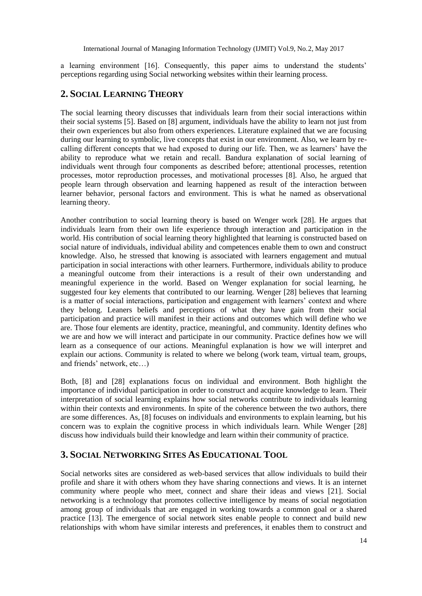a learning environment [16]. Consequently, this paper aims to understand the students' perceptions regarding using Social networking websites within their learning process.

## **2. SOCIAL LEARNING THEORY**

The social learning theory discusses that individuals learn from their social interactions within their social systems [5]. Based on [8] argument, individuals have the ability to learn not just from their own experiences but also from others experiences. Literature explained that we are focusing during our learning to symbolic, live concepts that exist in our environment. Also, we learn by recalling different concepts that we had exposed to during our life. Then, we as learners' have the ability to reproduce what we retain and recall. Bandura explanation of social learning of individuals went through four components as described before; attentional processes, retention processes, motor reproduction processes, and motivational processes [8]. Also, he argued that people learn through observation and learning happened as result of the interaction between learner behavior, personal factors and environment. This is what he named as observational learning theory.

Another contribution to social learning theory is based on Wenger work [28]. He argues that individuals learn from their own life experience through interaction and participation in the world. His contribution of social learning theory highlighted that learning is constructed based on social nature of individuals, individual ability and competences enable them to own and construct knowledge. Also, he stressed that knowing is associated with learners engagement and mutual participation in social interactions with other learners. Furthermore, individuals ability to produce a meaningful outcome from their interactions is a result of their own understanding and meaningful experience in the world. Based on Wenger explanation for social learning, he suggested four key elements that contributed to our learning. Wenger [28] believes that learning is a matter of social interactions, participation and engagement with learners' context and where they belong. Leaners beliefs and perceptions of what they have gain from their social participation and practice will manifest in their actions and outcomes which will define who we are. Those four elements are identity, practice, meaningful, and community. Identity defines who we are and how we will interact and participate in our community. Practice defines how we will learn as a consequence of our actions. Meaningful explanation is how we will interpret and explain our actions. Community is related to where we belong (work team, virtual team, groups, and friends' network, etc…)

Both, [8] and [28] explanations focus on individual and environment. Both highlight the importance of individual participation in order to construct and acquire knowledge to learn. Their interpretation of social learning explains how social networks contribute to individuals learning within their contexts and environments. In spite of the coherence between the two authors, there are some differences. As, [8] focuses on individuals and environments to explain learning, but his concern was to explain the cognitive process in which individuals learn. While Wenger [28] discuss how individuals build their knowledge and learn within their community of practice.

### **3. SOCIAL NETWORKING SITES AS EDUCATIONAL TOOL**

Social networks sites are considered as web-based services that allow individuals to build their profile and share it with others whom they have sharing connections and views. It is an internet community where people who meet, connect and share their ideas and views [21]. Social networking is a technology that promotes collective intelligence by means of social negotiation among group of individuals that are engaged in working towards a common goal or a shared practice [13]. The emergence of social network sites enable people to connect and build new relationships with whom have similar interests and preferences, it enables them to construct and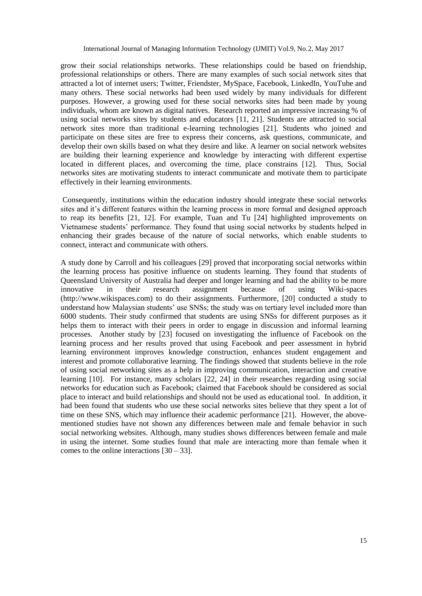grow their social relationships networks. These relationships could be based on friendship, professional relationships or others. There are many examples of such social network sites that attracted a lot of internet users; Twitter, Friendster, MySpace, Facebook, LinkedIn, YouTube and many others. These social networks had been used widely by many individuals for different purposes. However, a growing used for these social networks sites had been made by young individuals, whom are known as digital natives. Research reported an impressive increasing % of using social networks sites by students and educators [11, 21]. Students are attracted to social network sites more than traditional e-learning technologies [21]. Students who joined and participate on these sites are free to express their concerns, ask questions, communicate, and develop their own skills based on what they desire and like. A learner on social network websites are building their learning experience and knowledge by interacting with different expertise located in different places, and overcoming the time, place constrains [12]. Thus, Social networks sites are motivating students to interact communicate and motivate them to participate effectively in their learning environments.

Consequently, institutions within the education industry should integrate these social networks sites and it's different features within the learning process in more formal and designed approach to reap its benefits [21, 12]. For example, Tuan and Tu [24] highlighted improvements on Vietnamese students' performance. They found that using social networks by students helped in enhancing their grades because of the nature of social networks, which enable students to connect, interact and communicate with others.

A study done by Carroll and his colleagues [29] proved that incorporating social networks within the learning process has positive influence on students learning. They found that students of Queensland University of Australia had deeper and longer learning and had the ability to be more innovative in their research assignment because of using Wiki-spaces (http://www.wikispaces.com) to do their assignments. Furthermore, [20] conducted a study to understand how Malaysian students' use SNSs; the study was on tertiary level included more than 6000 students. Their study confirmed that students are using SNSs for different purposes as it helps them to interact with their peers in order to engage in discussion and informal learning processes. Another study by [23] focused on investigating the influence of Facebook on the learning process and her results proved that using Facebook and peer assessment in hybrid learning environment improves knowledge construction, enhances student engagement and interest and promote collaborative learning. The findings showed that students believe in the role of using social networking sites as a help in improving communication, interaction and creative learning [10]. For instance, many scholars [22, 24] in their researches regarding using social networks for education such as Facebook; claimed that Facebook should be considered as social place to interact and build relationships and should not be used as educational tool. In addition, it had been found that students who use these social networks sites believe that they spent a lot of time on these SNS, which may influence their academic performance [21]. However, the abovementioned studies have not shown any differences between male and female behavior in such social networking websites. Although, many studies shows differences between female and male in using the internet. Some studies found that male are interacting more than female when it comes to the online interactions  $[30 - 33]$ .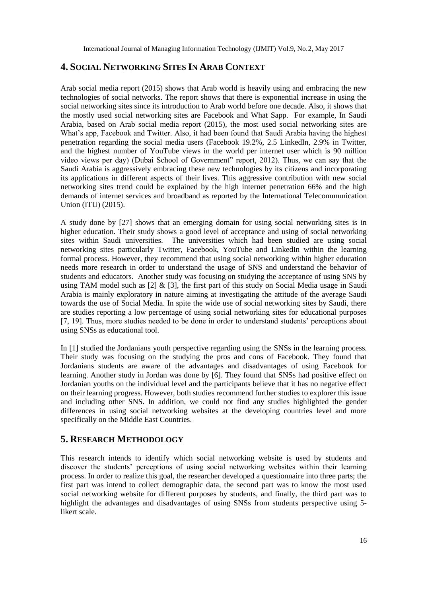### **4. SOCIAL NETWORKING SITES IN ARAB CONTEXT**

Arab social media report (2015) shows that Arab world is heavily using and embracing the new technologies of social networks. The report shows that there is exponential increase in using the social networking sites since its introduction to Arab world before one decade. Also, it shows that the mostly used social networking sites are Facebook and What Sapp. For example, In Saudi Arabia, based on Arab social media report (2015), the most used social networking sites are What's app, Facebook and Twitter. Also, it had been found that Saudi Arabia having the highest penetration regarding the social media users (Facebook 19.2%, 2.5 LinkedIn, 2.9% in Twitter, and the highest number of YouTube views in the world per internet user which is 90 million video views per day) (Dubai School of Government" report, 2012). Thus, we can say that the Saudi Arabia is aggressively embracing these new technologies by its citizens and incorporating its applications in different aspects of their lives. This aggressive contribution with new social networking sites trend could be explained by the high internet penetration 66% and the high demands of internet services and broadband as reported by the International Telecommunication Union (ITU) (2015).

A study done by [27] shows that an emerging domain for using social networking sites is in higher education. Their study shows a good level of acceptance and using of social networking sites within Saudi universities. The universities which had been studied are using social networking sites particularly Twitter, Facebook, YouTube and LinkedIn within the learning formal process. However, they recommend that using social networking within higher education needs more research in order to understand the usage of SNS and understand the behavior of students and educators. Another study was focusing on studying the acceptance of using SNS by using TAM model such as  $[2] \& [3]$ , the first part of this study on Social Media usage in Saudi Arabia is mainly exploratory in nature aiming at investigating the attitude of the average Saudi towards the use of Social Media. In spite the wide use of social networking sites by Saudi, there are studies reporting a low percentage of using social networking sites for educational purposes [7, 19]. Thus, more studies needed to be done in order to understand students' perceptions about using SNSs as educational tool.

In [1] studied the Jordanians youth perspective regarding using the SNSs in the learning process. Their study was focusing on the studying the pros and cons of Facebook. They found that Jordanians students are aware of the advantages and disadvantages of using Facebook for learning. Another study in Jordan was done by [6]. They found that SNSs had positive effect on Jordanian youths on the individual level and the participants believe that it has no negative effect on their learning progress. However, both studies recommend further studies to explorer this issue and including other SNS. In addition, we could not find any studies highlighted the gender differences in using social networking websites at the developing countries level and more specifically on the Middle East Countries.

### **5. RESEARCH METHODOLOGY**

This research intends to identify which social networking website is used by students and discover the students' perceptions of using social networking websites within their learning process. In order to realize this goal, the researcher developed a questionnaire into three parts; the first part was intend to collect demographic data, the second part was to know the most used social networking website for different purposes by students, and finally, the third part was to highlight the advantages and disadvantages of using SNSs from students perspective using 5 likert scale.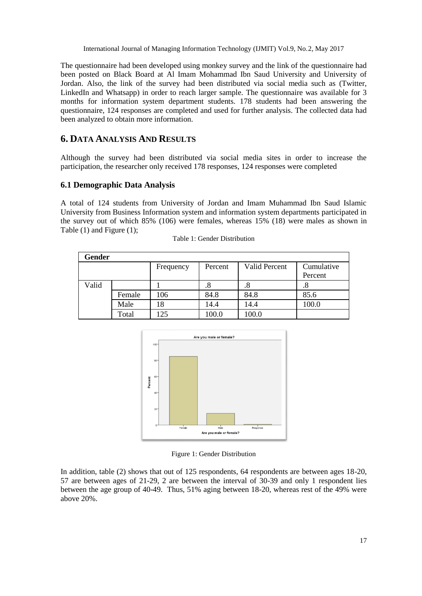The questionnaire had been developed using monkey survey and the link of the questionnaire had been posted on Black Board at Al Imam Mohammad Ibn Saud University and University of Jordan. Also, the link of the survey had been distributed via social media such as (Twitter, LinkedIn and Whatsapp) in order to reach larger sample. The questionnaire was available for 3 months for information system department students. 178 students had been answering the questionnaire, 124 responses are completed and used for further analysis. The collected data had been analyzed to obtain more information.

# **6. DATA ANALYSIS AND RESULTS**

Although the survey had been distributed via social media sites in order to increase the participation, the researcher only received 178 responses, 124 responses were completed

### **6.1 Demographic Data Analysis**

A total of 124 students from University of Jordan and Imam Muhammad Ibn Saud Islamic University from Business Information system and information system departments participated in the survey out of which 85% (106) were females, whereas 15% (18) were males as shown in Table (1) and Figure (1);

| Gender |        |           |         |                      |            |  |  |  |  |
|--------|--------|-----------|---------|----------------------|------------|--|--|--|--|
|        |        | Frequency | Percent | <b>Valid Percent</b> | Cumulative |  |  |  |  |
|        |        |           |         |                      | Percent    |  |  |  |  |
| Valid  |        |           | .8      | .8                   | .8         |  |  |  |  |
|        | Female | 106       | 84.8    | 84.8                 | 85.6       |  |  |  |  |
|        | Male   | 18        | 14.4    | 14.4                 | 100.0      |  |  |  |  |
|        | Total  | 125       | 100.0   | 100.0                |            |  |  |  |  |

|  |  |  | Table 1: Gender Distribution |
|--|--|--|------------------------------|
|--|--|--|------------------------------|



Figure 1: Gender Distribution

In addition, table (2) shows that out of 125 respondents, 64 respondents are between ages 18-20, 57 are between ages of 21-29, 2 are between the interval of 30-39 and only 1 respondent lies between the age group of 40-49. Thus, 51% aging between 18-20, whereas rest of the 49% were above 20%.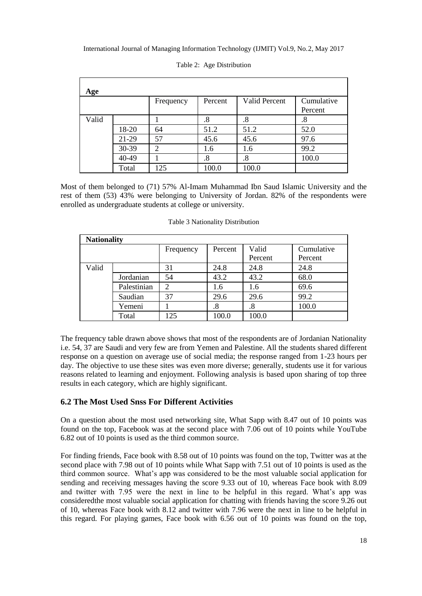| Age   |       |                |         |                      |            |
|-------|-------|----------------|---------|----------------------|------------|
|       |       | Frequency      | Percent | <b>Valid Percent</b> | Cumulative |
|       |       |                |         |                      | Percent    |
| Valid |       |                | .8      | .8                   | .8         |
|       | 18-20 | 64             | 51.2    | 51.2                 | 52.0       |
|       | 21-29 | 57             | 45.6    | 45.6                 | 97.6       |
|       | 30-39 | $\overline{2}$ | 1.6     | 1.6                  | 99.2       |
|       | 40-49 |                | .8      | $\boldsymbol{.8}$    | 100.0      |
|       | Total | 125            | 100.0   | 100.0                |            |

Table 2: Age Distribution

Most of them belonged to (71) 57% Al-Imam Muhammad Ibn Saud Islamic University and the rest of them (53) 43% were belonging to University of Jordan. 82% of the respondents were enrolled as undergraduate students at college or university.

| <b>Nationality</b> |             |                |         |         |            |  |  |  |  |
|--------------------|-------------|----------------|---------|---------|------------|--|--|--|--|
|                    |             | Frequency      | Percent | Valid   | Cumulative |  |  |  |  |
|                    |             |                |         | Percent | Percent    |  |  |  |  |
| Valid              |             | 31             | 24.8    | 24.8    | 24.8       |  |  |  |  |
|                    | Jordanian   | 54             | 43.2    | 43.2    | 68.0       |  |  |  |  |
|                    | Palestinian | $\overline{c}$ | 1.6     | 1.6     | 69.6       |  |  |  |  |
|                    | Saudian     | 37             | 29.6    | 29.6    | 99.2       |  |  |  |  |
|                    | Yemeni      |                | .8      | .8      | 100.0      |  |  |  |  |
|                    | Total       | 125            | 100.0   | 100.0   |            |  |  |  |  |

Table 3 Nationality Distribution

The frequency table drawn above shows that most of the respondents are of Jordanian Nationality i.e. 54, 37 are Saudi and very few are from Yemen and Palestine. All the students shared different response on a question on average use of social media; the response ranged from 1-23 hours per day. The objective to use these sites was even more diverse; generally, students use it for various reasons related to learning and enjoyment. Following analysis is based upon sharing of top three results in each category, which are highly significant.

### **6.2 The Most Used Snss For Different Activities**

On a question about the most used networking site, What Sapp with 8.47 out of 10 points was found on the top, Facebook was at the second place with 7.06 out of 10 points while YouTube 6.82 out of 10 points is used as the third common source.

For finding friends, Face book with 8.58 out of 10 points was found on the top, Twitter was at the second place with 7.98 out of 10 points while What Sapp with 7.51 out of 10 points is used as the third common source. What's app was considered to be the most valuable social application for sending and receiving messages having the score 9.33 out of 10, whereas Face book with 8.09 and twitter with 7.95 were the next in line to be helpful in this regard. What's app was consideredthe most valuable social application for chatting with friends having the score 9.26 out of 10, whereas Face book with 8.12 and twitter with 7.96 were the next in line to be helpful in this regard. For playing games, Face book with 6.56 out of 10 points was found on the top,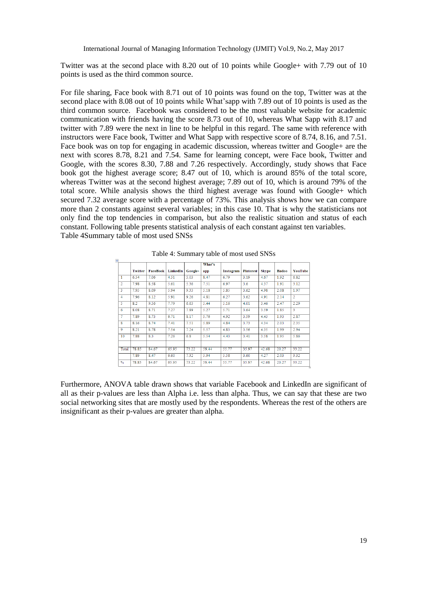Twitter was at the second place with 8.20 out of 10 points while Google+ with 7.79 out of 10 points is used as the third common source.

For file sharing, Face book with 8.71 out of 10 points was found on the top, Twitter was at the second place with 8.08 out of 10 points while What'sapp with 7.89 out of 10 points is used as the third common source. Facebook was considered to be the most valuable website for academic communication with friends having the score 8.73 out of 10, whereas What Sapp with 8.17 and twitter with 7.89 were the next in line to be helpful in this regard. The same with reference with instructors were Face book, Twitter and What Sapp with respective score of 8.74, 8.16, and 7.51. Face book was on top for engaging in academic discussion, whereas twitter and Google+ are the next with scores 8.78, 8.21 and 7.54. Same for learning concept, were Face book, Twitter and Google, with the scores 8.30, 7.88 and 7.26 respectively. Accordingly, study shows that Face book got the highest average score; 8.47 out of 10, which is around 85% of the total score, whereas Twitter was at the second highest average; 7.89 out of 10, which is around 79% of the total score. While analysis shows the third highest average was found with Google+ which secured 7.32 average score with a percentage of 73%. This analysis shows how we can compare more than 2 constants against several variables; in this case 10. That is why the statisticians not only find the top tendencies in comparison, but also the realistic situation and status of each constant. Following table presents statistical analysis of each constant against ten variables. Table 4Summary table of most used SNSs

|                         |                |                 |          |         | What's |           |                  |              |              |                         |
|-------------------------|----------------|-----------------|----------|---------|--------|-----------|------------------|--------------|--------------|-------------------------|
|                         | <b>Twitter</b> | <b>FaceBook</b> | LinkedIn | Google+ | app    | Instagram | <b>Pinterest</b> | <b>Skype</b> | <b>Badoo</b> | YouTube                 |
| 1                       | 6.54           | 7.06            | 4.51     | 5.03    | 8.47   | 6.79      | 3.19             | 4.67         | 1.92         | 6.82                    |
| $\overline{2}$          | 7.98           | 8.58            | 5.61     | 5.36    | 7.51   | 6.97      | 3.6              | 4.37         | 1.91         | 3.12                    |
| $\overline{\mathbf{3}}$ | 7.95           | 8.09            | 5.94     | 9.33    | 5.18   | 5.85      | 3.62             | 4.98         | 2.08         | 1.97                    |
| 4                       | 7.96           | 8.12            | 5.91     | 9.26    | 4.81   | 6.27      | 3.62             | 4.91         | 2.14         | $\overline{2}$          |
| 5                       | 8.2            | 9.56            | 7.79     | 6.63    | 5.44   | 5.16      | 4.01             | 3.46         | 2.47         | 2.29                    |
| $\overline{6}$          | 8.08           | 8.71            | 7.27     | 7.89    | 5.27   | 5.71      | 3.64             | 3.59         | 1.85         | $\overline{\mathbf{3}}$ |
| 7                       | 7.89           | 8.73            | 6.71     | 8.17    | 5.76   | 4.92      | 3.59             | 4.43         | 1.93         | 2.87                    |
| 8                       | 8.16           | 8.74            | 7.41     | 7.51    | 5.89   | 4.84      | 3.73             | 4.34         | 2.03         | 2.35                    |
| $\overline{Q}$          | 8.21           | 8.78            | 7.54     | 7.24    | 5.57   | 4.83      | 3.56             | 4.35         | 1.99         | 2.94                    |
| 10                      | 7.88           | 8.3             | 7.26     | 6.8     | 5.54   | 4.43      | 3.41             | 3.58         | 1.95         | 5.86                    |
|                         |                |                 |          |         |        |           |                  |              |              |                         |
| Total                   | 78.85          | 84.67           | 65.95    | 73.22   | 59.44  | 55.77     | 35.97            | 42.68        | 20.27        | 33.22                   |
|                         | 7.89           | 8.47            | 6.60     | 7.32    | 5.94   | 5.58      | 3.60             | 4.27         | 2.03         | 3.32                    |
| $\%$                    | 78.85          | 84.67           | 65.95    | 73.22   | 59.44  | 55.77     | 35.97            | 42.68        | 20.27        | 33.22                   |

Table 4: Summary table of most used SNSs

 $\frac{1}{2}$ 

Furthermore, ANOVA table drawn shows that variable Facebook and LinkedIn are significant of all as their p-values are less than Alpha i.e. less than alpha. Thus, we can say that these are two social networking sites that are mostly used by the respondents. Whereas the rest of the others are insignificant as their p-values are greater than alpha.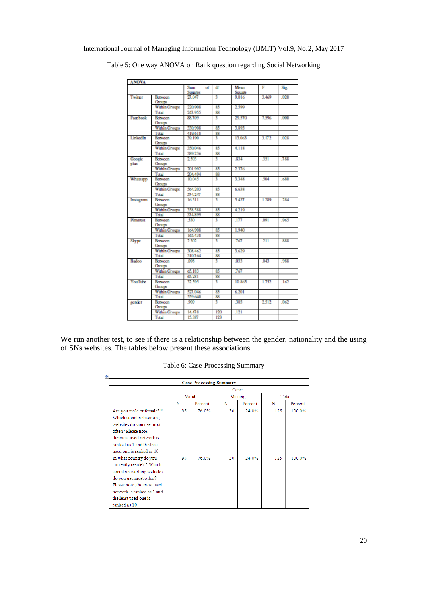| <b>ANOVA</b>   |                          |                             |     |                |       |      |
|----------------|--------------------------|-----------------------------|-----|----------------|-------|------|
|                |                          | Sum<br>of<br><b>Squares</b> | df  | Mean<br>Square | F     | Sig. |
| Twitter        | Between<br>Groups        | 27.047                      | ٦   | 9.016          | 3.469 | .020 |
|                | <b>Within Groups</b>     | 220.908                     | 85  | 2.599          |       |      |
|                | Total                    | 247.955                     | 88  |                |       |      |
| Facebook       | <b>Between</b>           | 88.709                      | ٦   | 29.570         | 7.596 | .000 |
|                | Groups                   |                             |     |                |       |      |
|                | <b>Within Groups</b>     | 330.908                     | 85  | 3.893          |       |      |
|                | Total                    | 419,618                     | 88  |                |       |      |
| LinkedIn       | Between<br>Groups        | 39.190                      | ٦   | 13.063         | 3.172 | .028 |
|                | Within Groups            | 350.046                     | 85  | 4.118          |       |      |
|                | Total                    | 389.236                     | 88  |                |       |      |
| Google<br>plus | <b>Between</b><br>Groups | 2.503                       | ٦   | 834            | 351   | .788 |
|                | <b>Within Groups</b>     | 201.992                     | 85  | 2.376          |       |      |
|                | Total                    | 204.494                     | 88  |                |       |      |
| Whatsapp       | Between<br>Groups        | 10.045                      | ٩   | 3348           | 504   | 680  |
|                | <b>Within Groups</b>     | 564.203                     | 85  | 6.638          |       |      |
|                | Total                    | 574.247                     | 88  |                |       |      |
| Instagram      | Between<br>Groups        | 16.311                      | 3   | 5.437          | 1.289 | .284 |
|                | <b>Within Groups</b>     | 358,588                     | 85  | 4.219          |       |      |
|                | Total                    | 374.899                     | 88  |                |       |      |
| Pinterest      | Between<br>Groups        | 530                         | ٩   | .177           | .091  | .965 |
|                | <b>Within Groups</b>     | 164,908                     | 85  | 1.940          |       |      |
|                | Total                    | 165.438                     | 88  |                |       |      |
| Skype          | Between<br>Groups        | 2.302                       | ٩   | .767           | 211   | .888 |
|                | <b>Within Groups</b>     | 308.462                     | 85  | 3.629          |       |      |
|                | Total                    | 310.764                     | 88  |                |       |      |
| Badoo          | Between<br>Groups        | 098                         | ٦   | 033            | 043   | 988  |
|                | <b>Within Groups</b>     | 65.183                      | 85  | .767           |       |      |
|                | Total                    | 65.281                      | 88  |                |       |      |
| YouTube        | Between<br>Groups        | 32.595                      | ٩   | 10.865         | 1.752 | .162 |
|                | <b>Within Groups</b>     | 527.046                     | 85  | 6.201          |       |      |
|                | Total                    | 559.640                     | 88  |                |       |      |
| gender         | Between<br><b>Groups</b> | 909                         | ٦   | 303            | 2.512 | .062 |
|                | <b>Within Groups</b>     | 14.478                      | 120 | .121           |       |      |
|                | Total                    | 15.387                      | 123 |                |       |      |

Table 5: One way ANOVA on Rank question regarding Social Networking

We run another test, to see if there is a relationship between the gender, nationality and the using of SNs websites. The tables below present these associations.

| <b>Case Processing Summary</b> |       |         |    |         |       |         |
|--------------------------------|-------|---------|----|---------|-------|---------|
|                                | Cases |         |    |         |       |         |
|                                |       | Valid   |    | Missing | Total |         |
|                                | N     | Percent | N  | Percent | N     | Percent |
| Are you male or female? *      | 95.   | 76.0%   | 30 | 24.0%   | 125   | 100.0%  |
| Which social networking        |       |         |    |         |       |         |
| websites do you use most       |       |         |    |         |       |         |
| often? Please note,            |       |         |    |         |       |         |
| the most used network is       |       |         |    |         |       |         |
| ranked as 1 and the least      |       |         |    |         |       |         |
| used one is ranked as 10       |       |         |    |         |       |         |
| In what country do you         | 95    | 76.0%   | 30 | 24.0%   | 125   | 100.0%  |
| currently reside?* Which       |       |         |    |         |       |         |
| social networking websites     |       |         |    |         |       |         |
| do you use most often?         |       |         |    |         |       |         |
| Please note, the most used     |       |         |    |         |       |         |
| network is ranked as 1 and     |       |         |    |         |       |         |
| the least used one is          |       |         |    |         |       |         |
| ranked as 10                   |       |         |    |         |       |         |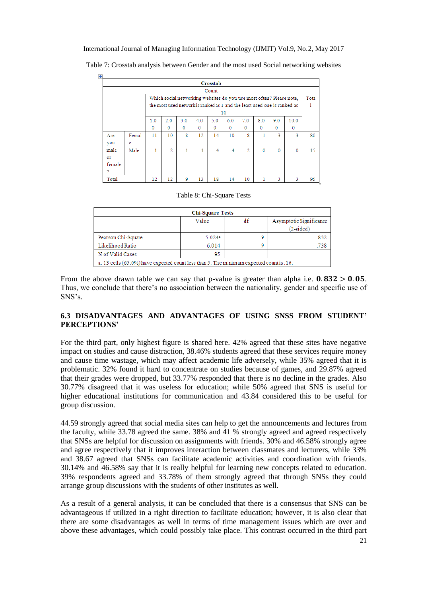| Crosstab                                                             |       |     |                |     |             |              |     |                |              |                                                                          |              |     |
|----------------------------------------------------------------------|-------|-----|----------------|-----|-------------|--------------|-----|----------------|--------------|--------------------------------------------------------------------------|--------------|-----|
|                                                                      | Count |     |                |     |             |              |     |                |              |                                                                          |              |     |
| Which social networking websites do you use most often? Please note, |       |     |                |     |             |              |     |                | Tota         |                                                                          |              |     |
|                                                                      |       |     |                |     |             |              |     |                |              | the most used network is ranked as 1 and the least used one is ranked as |              |     |
|                                                                      |       |     |                |     |             |              | 10  |                |              |                                                                          |              |     |
|                                                                      |       | 1.0 | 2.0            | 3.0 | 4.0         | 5.0          | 6.0 | 7.0            | 8.0          | 9.0                                                                      | 10.0         |     |
|                                                                      |       | 0   | $\mathbf{0}$   | 0   | $\mathbf 0$ | $\mathbf{0}$ | 0   | 0              | $\mathbf{0}$ | 0                                                                        | $\mathbf{0}$ |     |
| Are                                                                  | Femal | 11  | 10             | 8   | 12          | 14           | 10  | 8              |              | 3                                                                        | ٩            | 80  |
| you                                                                  | е     |     |                |     |             |              |     |                |              |                                                                          |              |     |
| male                                                                 | Male  |     | $\overline{2}$ |     | 1           | 4            | 4   | $\overline{2}$ | $\Omega$     | $\Omega$                                                                 | $\Omega$     | 15  |
| or                                                                   |       |     |                |     |             |              |     |                |              |                                                                          |              |     |
| female                                                               |       |     |                |     |             |              |     |                |              |                                                                          |              |     |
| 2                                                                    |       |     |                |     |             |              |     |                |              |                                                                          |              |     |
| Total                                                                |       | 12  | 12             | 9   | 13          | 18           | 14  | 10             |              | 3                                                                        |              | 95. |

Table 7: Crosstab analysis between Gender and the most used Social networking websites

 $\left| \frac{1}{2} \right|$ 

#### Table 8: Chi-Square Tests

| <b>Chi-Square Tests</b>                                                              |                      |    |                                        |  |  |  |  |
|--------------------------------------------------------------------------------------|----------------------|----|----------------------------------------|--|--|--|--|
|                                                                                      | Value                | df | Asymptotic Significance<br>$(2-sided)$ |  |  |  |  |
| Pearson Chi-Square                                                                   | $5.024$ <sup>a</sup> | ۹  | .832                                   |  |  |  |  |
| Likelihood Ratio                                                                     | 6.014                | ٥  | .738                                   |  |  |  |  |
| N of Valid Cases                                                                     | 95                   |    |                                        |  |  |  |  |
| a 13 cells (65.0%) have expected count less than 5. The minimum expected count is 16 |                      |    |                                        |  |  |  |  |

From the above drawn table we can say that p-value is greater than alpha i.e.  $0.832 > 0.05$ . Thus, we conclude that there's no association between the nationality, gender and specific use of SNS's.

### **6.3 DISADVANTAGES AND ADVANTAGES OF USING SNSS FROM STUDENT' PERCEPTIONS'**

For the third part, only highest figure is shared here. 42% agreed that these sites have negative impact on studies and cause distraction, 38.46% students agreed that these services require money and cause time wastage, which may affect academic life adversely, while 35% agreed that it is problematic. 32% found it hard to concentrate on studies because of games, and 29.87% agreed that their grades were dropped, but 33.77% responded that there is no decline in the grades. Also 30.77% disagreed that it was useless for education; while 50% agreed that SNS is useful for higher educational institutions for communication and 43.84 considered this to be useful for group discussion.

44.59 strongly agreed that social media sites can help to get the announcements and lectures from the faculty, while 33.78 agreed the same. 38% and 41 % strongly agreed and agreed respectively that SNSs are helpful for discussion on assignments with friends. 30% and 46.58% strongly agree and agree respectively that it improves interaction between classmates and lecturers, while 33% and 38.67 agreed that SNSs can facilitate academic activities and coordination with friends. 30.14% and 46.58% say that it is really helpful for learning new concepts related to education. 39% respondents agreed and 33.78% of them strongly agreed that through SNSs they could arrange group discussions with the students of other institutes as well.

As a result of a general analysis, it can be concluded that there is a consensus that SNS can be advantageous if utilized in a right direction to facilitate education; however, it is also clear that there are some disadvantages as well in terms of time management issues which are over and above these advantages, which could possibly take place. This contrast occurred in the third part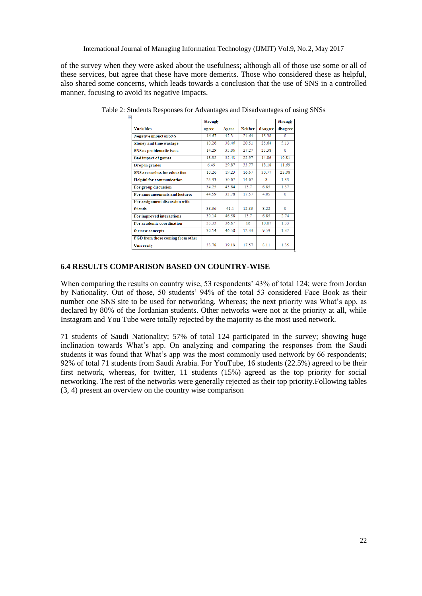of the survey when they were asked about the usefulness; although all of those use some or all of these services, but agree that these have more demerits. Those who considered these as helpful, also shared some concerns, which leads towards a conclusion that the use of SNS in a controlled manner, focusing to avoid its negative impacts.

| $\ddot{\ddagger}$                | Strongly |       |                |          | Strongly |
|----------------------------------|----------|-------|----------------|----------|----------|
| <b>Variables</b>                 | agree    | Agree | <b>Neither</b> | disagree | disagree |
| <b>Negative impact of SNS</b>    | 16.67    | 42.31 | 24.64          | 15.38    | $\Omega$ |
| Money and time wastage           | 10.26    | 38 46 | 20.51          | 25.64    | 5.13     |
| SNS as problematic issue         | 14.29    | 35.06 | 27.27          | 23.38    | $\Omega$ |
| <b>Bad impact of games</b>       | 18.92    | 32.43 | 22.97          | 14.86    | 10.81    |
| Drop in grades                   | 6.49     | 29.87 | 33.77          | 18.18    | 11.69    |
| SNS are useless for education    | 10.26    | 19.23 | 16.67          | 30.77    | 23.08    |
| <b>Helpful for communication</b> | 25.33    | 50.67 | 14.67          | 8        | 1.33     |
| For group discussion             | 34.25    | 43.84 | 13.7           | 6.85     | 1.37     |
| For announcements and lectures   | 44.59    | 33.78 | 17.57          | 4.05     | $\Omega$ |
| For assignment discussion with   |          |       |                |          |          |
| friends                          | 38.36    | 411   | 12.33          | 8 2 2    | $\Omega$ |
| For improved interactions        | 30.14    | 46.58 | 13.7           | 6.85     | 2.74     |
| For academic coordination        | 33.33    | 36.67 | 16             | 10.67    | 1.33     |
| for new concepts                 | 30.14    | 46.58 | 12.33          | 9.59     | 1.37     |
| FGD from those coming from other |          |       |                |          |          |
| <b>University</b>                | 33.78    | 39.19 | 17.57          | 8.11     | 1.35     |

Table 2: Students Responses for Advantages and Disadvantages of using SNSs

#### **6.4 RESULTS COMPARISON BASED ON COUNTRY-WISE**

When comparing the results on country wise, 53 respondents' 43% of total 124; were from Jordan by Nationality. Out of those, 50 students' 94% of the total 53 considered Face Book as their number one SNS site to be used for networking. Whereas; the next priority was What's app, as declared by 80% of the Jordanian students. Other networks were not at the priority at all, while Instagram and You Tube were totally rejected by the majority as the most used network.

71 students of Saudi Nationality; 57% of total 124 participated in the survey; showing huge inclination towards What's app. On analyzing and comparing the responses from the Saudi students it was found that What's app was the most commonly used network by 66 respondents; 92% of total 71 students from Saudi Arabia. For YouTube, 16 students (22.5%) agreed to be their first network, whereas, for twitter, 11 students (15%) agreed as the top priority for social networking. The rest of the networks were generally rejected as their top priority.Following tables (3, 4) present an overview on the country wise comparison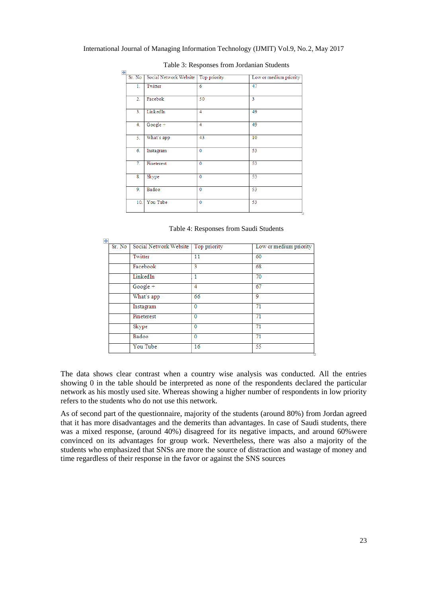| $\ddotplus$ |                |                                       |                |                        |
|-------------|----------------|---------------------------------------|----------------|------------------------|
|             | Sr. No         | Social Network Website   Top priority |                | Low or medium priority |
|             | 1.             | Twitter                               | 6              | 47                     |
|             | 2.             | Facebok                               | 50             | 3                      |
|             | 3 <sub>1</sub> | LinkedIn                              | 4              | 49                     |
|             | 4.             | Google +                              | 4              | 49                     |
|             | 5.             | What's app                            | 43             | 10                     |
|             | 6.             | Instagram                             | $\overline{0}$ | 53                     |
|             | 7.             | Pineterest                            | $\mathbf{0}$   | 53                     |
|             | 8.             | Skype                                 | $\overline{0}$ | 53                     |
|             | 9.             | Badoo                                 | $\mathbf{0}$   | 53                     |
|             | 10.            | You Tube                              | $\mathbf 0$    | 53                     |

#### Table 3: Responses from Jordanian Students

#### Table 4: Responses from Saudi Students

| Sr. No | Social Network Website   Top priority |                | Low or medium priority |
|--------|---------------------------------------|----------------|------------------------|
|        | Twitter                               | 11             | 60                     |
|        | Facebook                              | 3              | 68                     |
|        | LinkedIn                              |                | 70                     |
|        | Google +                              | 4              | 67                     |
|        | What's app                            | 66             | 9                      |
|        | Instagram                             | 0              | 71                     |
|        | Pineterest                            | 0              | 71                     |
|        | Skype                                 | $\mathbf{0}$   | 71                     |
|        | Badoo                                 | $\overline{0}$ | 71                     |
|        | You Tube                              | 16             | 55                     |

The data shows clear contrast when a country wise analysis was conducted. All the entries showing 0 in the table should be interpreted as none of the respondents declared the particular network as his mostly used site. Whereas showing a higher number of respondents in low priority refers to the students who do not use this network.

As of second part of the questionnaire, majority of the students (around 80%) from Jordan agreed that it has more disadvantages and the demerits than advantages. In case of Saudi students, there was a mixed response, (around 40%) disagreed for its negative impacts, and around 60%were convinced on its advantages for group work. Nevertheless, there was also a majority of the students who emphasized that SNSs are more the source of distraction and wastage of money and time regardless of their response in the favor or against the SNS sources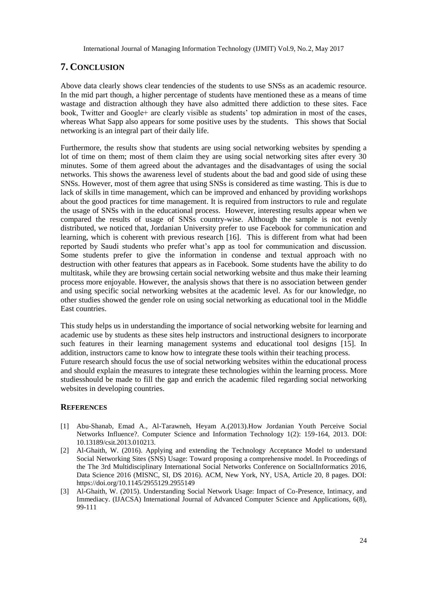# **7. CONCLUSION**

Above data clearly shows clear tendencies of the students to use SNSs as an academic resource. In the mid part though, a higher percentage of students have mentioned these as a means of time wastage and distraction although they have also admitted there addiction to these sites. Face book, Twitter and Google+ are clearly visible as students' top admiration in most of the cases, whereas What Sapp also appears for some positive uses by the students. This shows that Social networking is an integral part of their daily life.

Furthermore, the results show that students are using social networking websites by spending a lot of time on them; most of them claim they are using social networking sites after every 30 minutes. Some of them agreed about the advantages and the disadvantages of using the social networks. This shows the awareness level of students about the bad and good side of using these SNSs. However, most of them agree that using SNSs is considered as time wasting. This is due to lack of skills in time management, which can be improved and enhanced by providing workshops about the good practices for time management. It is required from instructors to rule and regulate the usage of SNSs with in the educational process. However, interesting results appear when we compared the results of usage of SNSs country-wise. Although the sample is not evenly distributed, we noticed that, Jordanian University prefer to use Facebook for communication and learning, which is coherent with previous research [16]. This is different from what had been reported by Saudi students who prefer what's app as tool for communication and discussion. Some students prefer to give the information in condense and textual approach with no destruction with other features that appears as in Facebook. Some students have the ability to do multitask, while they are browsing certain social networking website and thus make their learning process more enjoyable. However, the analysis shows that there is no association between gender and using specific social networking websites at the academic level. As for our knowledge, no other studies showed the gender role on using social networking as educational tool in the Middle East countries.

This study helps us in understanding the importance of social networking website for learning and academic use by students as these sites help instructors and instructional designers to incorporate such features in their learning management systems and educational tool designs [15]. In addition, instructors came to know how to integrate these tools within their teaching process. Future research should focus the use of social networking websites within the educational process and should explain the measures to integrate these technologies within the learning process. More studiesshould be made to fill the gap and enrich the academic filed regarding social networking websites in developing countries.

### **REFERENCES**

- [1] Abu-Shanab, Emad A., Al-Tarawneh, Heyam A.(2013).How Jordanian Youth Perceive Social Networks Influence?. Computer Science and Information Technology 1(2): 159-164, 2013. DOI: 10.13189/csit.2013.010213.
- [2] Al-Ghaith, W. (2016). Applying and extending the Technology Acceptance Model to understand Social Networking Sites (SNS) Usage: Toward proposing a comprehensive model. In Proceedings of the The 3rd Multidisciplinary International Social Networks Conference on SocialInformatics 2016, Data Science 2016 (MISNC, SI, DS 2016). ACM, New York, NY, USA, Article 20, 8 pages. DOI: https://doi.org/10.1145/2955129.2955149
- [3] Al-Ghaith, W. (2015). Understanding Social Network Usage: Impact of Co-Presence, Intimacy, and Immediacy. (IJACSA) International Journal of Advanced Computer Science and Applications, 6(8), 99-111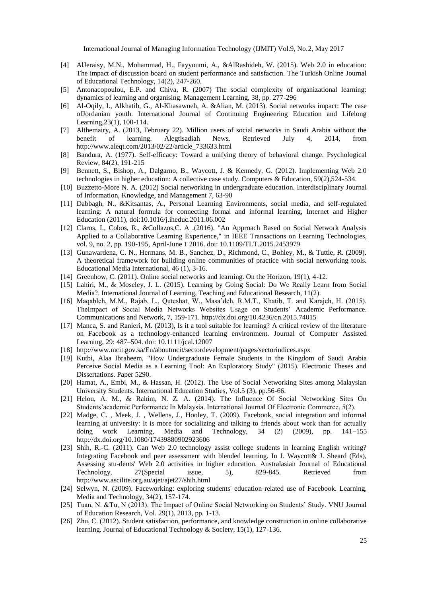- [4] AlJeraisy, M.N., Mohammad, H., Fayyoumi, A., &AlRashideh, W. (2015). Web 2.0 in education: The impact of discussion board on student performance and satisfaction. The Turkish Online Journal of Educational Technology, 14(2), 247-260.
- [5] Antonacopoulou, E.P. and Chiva, R. (2007) The social complexity of organizational learning: dynamics of learning and organising. Management Learning, 38, pp. 277-296
- [6] Al-Oqily, I., Alkhatib, G., Al-Khasawneh, A. &Alian, M. (2013). Social networks impact: The case ofJordanian youth. International Journal of Continuing Engineering Education and Lifelong Learning,23(1), 100-114.
- [7] Althemairy, A. (2013, February 22). Million users of social networks in Saudi Arabia without the benefit of learning. Alegtisadiah News. Retrieved July 4, 2014, from http://www.aleqt.com/2013/02/22/article\_733633.html
- [8] Bandura, A. (1977). Self-efficacy: Toward a unifying theory of behavioral change. Psychological Review, 84(2), 191-215
- [9] Bennett, S., Bishop, A., Dalgarno, B., Waycott, J. & Kennedy, G. (2012). Implementing Web 2.0 technologies in higher education: A collective case study. Computers & Education, 59(2),524-534.
- [10] Buzzetto-More N. A. (2012) Social networking in undergraduate education. Interdisciplinary Journal of Information, Knowledge, and Management 7, 63-90
- [11] Dabbagh, N., &Kitsantas, A., Personal Learning Environments, social media, and self-regulated learning: A natural formula for connecting formal and informal learning, Internet and Higher Education (2011), doi:10.1016/j.iheduc.2011.06.002
- [12] Claros, I., Cobos, R., &Collazos,C. A .(2016). "An Approach Based on Social Network Analysis Applied to a Collaborative Learning Experience," in IEEE Transactions on Learning Technologies, vol. 9, no. 2, pp. 190-195, April-June 1 2016. doi: 10.1109/TLT.2015.2453979
- [13] Gunawardena, C. N., Hermans, M. B., Sanchez, D., Richmond, C., Bohley, M., & Tuttle, R. (2009). A theoretical framework for building online communities of practice with social networking tools. Educational Media International, 46 (1), 3-16.
- [14] Greenhow, C. (2011). Online social networks and learning. On the Horizon, 19(1), 4-12.
- [15] Lahiri, M., & Moseley, J. L. (2015). Learning by Going Social: Do We Really Learn from Social Media?. International Journal of Learning, Teaching and Educational Research, 11(2).
- [16] Maqableh, M.M., Rajab, L., Quteshat, W., Masa'deh, R.M.T., Khatib, T. and Karajeh, H. (2015). TheImpact of Social Media Networks Websites Usage on Students' Academic Performance. Communications and Network, 7, 159-171. http://dx.doi.org/10.4236/cn.2015.74015
- [17] Manca, S. and Ranieri, M. (2013), Is it a tool suitable for learning? A critical review of the literature on Facebook as a technology-enhanced learning environment. Journal of Computer Assisted Learning, 29: 487–504. doi: 10.1111/jcal.12007
- [18] http://www.mcit.gov.sa/En/aboutmcit/sectordevelopment/pages/sectorindices.aspx
- [19] Kutbi, Alaa Ibraheem, "How Undergraduate Female Students in the Kingdom of Saudi Arabia Perceive Social Media as a Learning Tool: An Exploratory Study" (2015). Electronic Theses and Dissertations. Paper 5290.
- [20] Hamat, A., Embi, M., & Hassan, H. (2012). The Use of Social Networking Sites among Malaysian University Students. International Education Studies, Vol.5 (3), pp.56-66.
- [21] Helou, A. M., & Rahim, N. Z. A. (2014). The Influence Of Social Networking Sites On Students'academic Performance In Malaysia. International Journal Of Electronic Commerce, 5(2).
- [22] Madge, C. , Meek, J. , Wellens, J., Hooley, T. (2009). Facebook, social integration and informal learning at university: It is more for socializing and talking to friends about work than for actually doing work Learning, Media and Technology, 34 (2) (2009), pp. 141–155 http://dx.doi.org/10.1080/17439880902923606
- [23] Shih, R.-C. (2011). Can Web 2.0 technology assist college students in learning English writing? Integrating Facebook and peer assessment with blended learning. In J. Waycott& J. Sheard (Eds), Assessing stu-dents' Web 2.0 activities in higher education. Australasian Journal of Educational Technology, 27(Special issue, 5), 829-845. Retrieved from http://www.ascilite.org.au/ajet/ajet27/shih.html
- [24] Selwyn, N. (2009). Faceworking: exploring students' education-related use of Facebook. Learning, Media and Technology, 34(2), 157-174.
- [25] Tuan, N. &Tu, N (2013). The Impact of Online Social Networking on Students' Study. VNU Journal of Education Research, Vol. 29(1), 2013, pp. 1-13.
- [26] Zhu, C. (2012). Student satisfaction, performance, and knowledge construction in online collaborative learning. Journal of Educational Technology & Society, 15(1), 127-136.